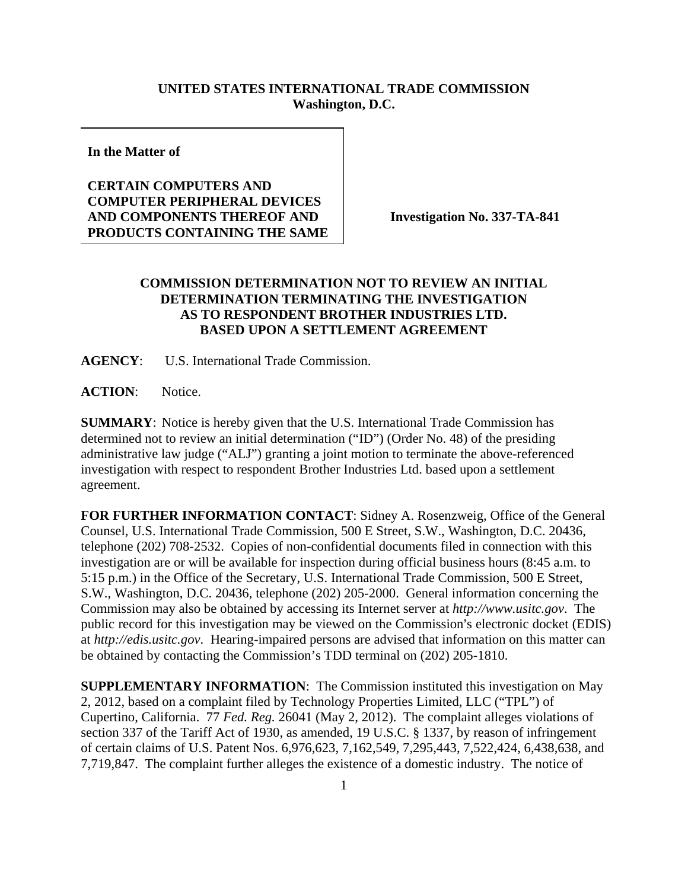## **UNITED STATES INTERNATIONAL TRADE COMMISSION Washington, D.C.**

**In the Matter of** 

## **CERTAIN COMPUTERS AND COMPUTER PERIPHERAL DEVICES AND COMPONENTS THEREOF AND PRODUCTS CONTAINING THE SAME**

**Investigation No. 337-TA-841** 

## **COMMISSION DETERMINATION NOT TO REVIEW AN INITIAL DETERMINATION TERMINATING THE INVESTIGATION AS TO RESPONDENT BROTHER INDUSTRIES LTD. BASED UPON A SETTLEMENT AGREEMENT**

**AGENCY**: U.S. International Trade Commission.

**ACTION**: Notice.

**SUMMARY**: Notice is hereby given that the U.S. International Trade Commission has determined not to review an initial determination ("ID") (Order No. 48) of the presiding administrative law judge ("ALJ") granting a joint motion to terminate the above-referenced investigation with respect to respondent Brother Industries Ltd. based upon a settlement agreement.

**FOR FURTHER INFORMATION CONTACT**: Sidney A. Rosenzweig, Office of the General Counsel, U.S. International Trade Commission, 500 E Street, S.W., Washington, D.C. 20436, telephone (202) 708-2532. Copies of non-confidential documents filed in connection with this investigation are or will be available for inspection during official business hours (8:45 a.m. to 5:15 p.m.) in the Office of the Secretary, U.S. International Trade Commission, 500 E Street, S.W., Washington, D.C. 20436, telephone (202) 205-2000. General information concerning the Commission may also be obtained by accessing its Internet server at *http://www.usitc.gov*. The public record for this investigation may be viewed on the Commission's electronic docket (EDIS) at *http://edis.usitc.gov*. Hearing-impaired persons are advised that information on this matter can be obtained by contacting the Commission's TDD terminal on (202) 205-1810.

**SUPPLEMENTARY INFORMATION**: The Commission instituted this investigation on May 2, 2012, based on a complaint filed by Technology Properties Limited, LLC ("TPL") of Cupertino, California. 77 *Fed. Reg.* 26041 (May 2, 2012). The complaint alleges violations of section 337 of the Tariff Act of 1930, as amended, 19 U.S.C. § 1337, by reason of infringement of certain claims of U.S. Patent Nos. 6,976,623, 7,162,549, 7,295,443, 7,522,424, 6,438,638, and 7,719,847. The complaint further alleges the existence of a domestic industry. The notice of